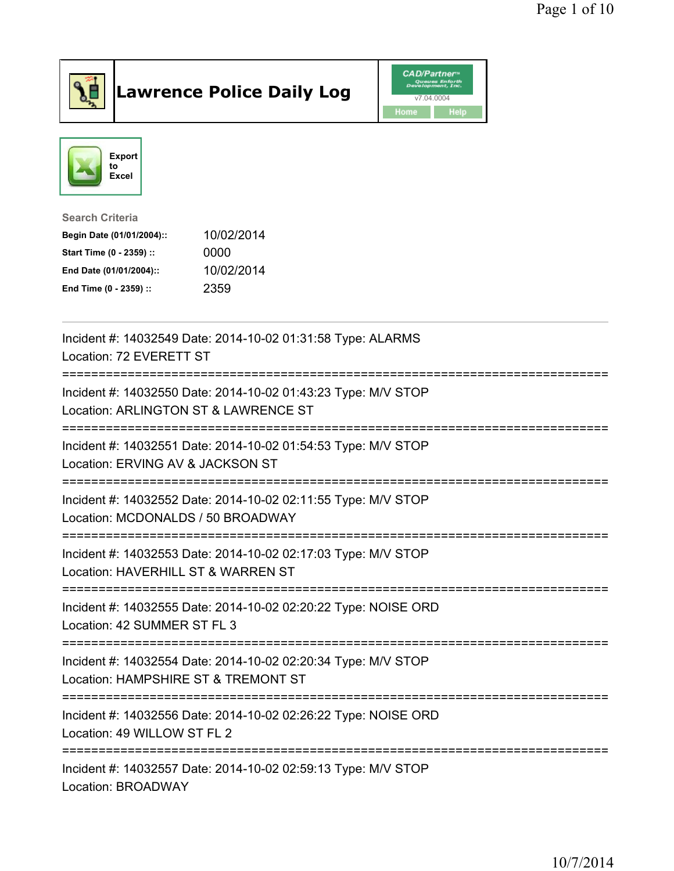

## Lawrence Police Daily Log **CAD/Partner**





Search Criteria Begin Date (01/01/2004):: 10/02/2014 Start Time (0 - 2359) :: 0000 End Date (01/01/2004):: 10/02/2014 End Time (0 - 2359) :: 2359

| Incident #: 14032549 Date: 2014-10-02 01:31:58 Type: ALARMS<br>Location: 72 EVERETT ST                                                      |
|---------------------------------------------------------------------------------------------------------------------------------------------|
| Incident #: 14032550 Date: 2014-10-02 01:43:23 Type: M/V STOP<br>Location: ARLINGTON ST & LAWRENCE ST<br>================================== |
| Incident #: 14032551 Date: 2014-10-02 01:54:53 Type: M/V STOP<br>Location: ERVING AV & JACKSON ST                                           |
| Incident #: 14032552 Date: 2014-10-02 02:11:55 Type: M/V STOP<br>Location: MCDONALDS / 50 BROADWAY                                          |
| Incident #: 14032553 Date: 2014-10-02 02:17:03 Type: M/V STOP<br>Location: HAVERHILL ST & WARREN ST                                         |
| Incident #: 14032555 Date: 2014-10-02 02:20:22 Type: NOISE ORD<br>Location: 42 SUMMER ST FL 3<br>------------------------------             |
| Incident #: 14032554 Date: 2014-10-02 02:20:34 Type: M/V STOP<br>Location: HAMPSHIRE ST & TREMONT ST                                        |
| Incident #: 14032556 Date: 2014-10-02 02:26:22 Type: NOISE ORD<br>Location: 49 WILLOW ST FL 2                                               |
| Incident #: 14032557 Date: 2014-10-02 02:59:13 Type: M/V STOP<br>Location: BROADWAY                                                         |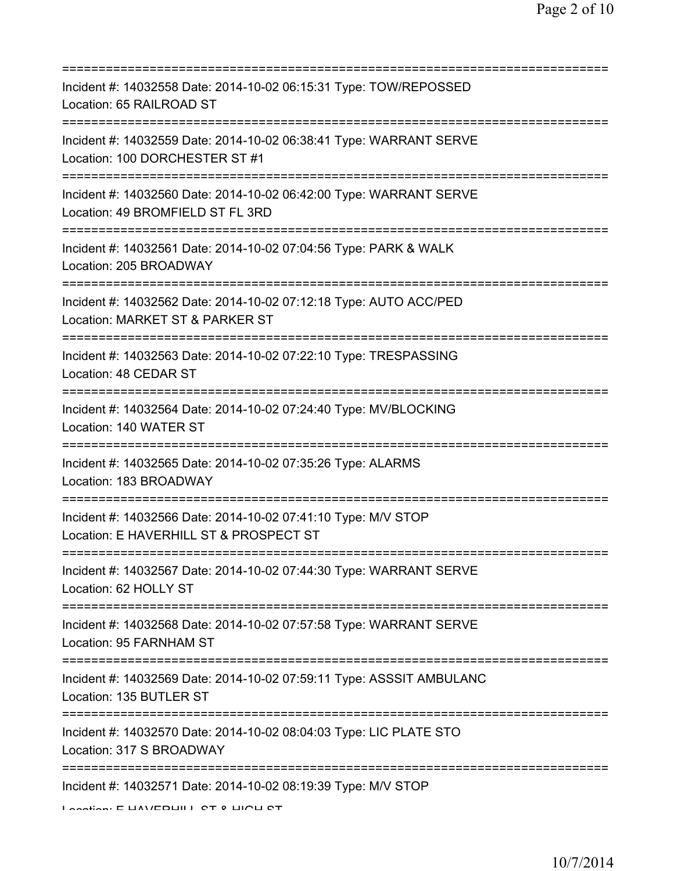| Incident #: 14032558 Date: 2014-10-02 06:15:31 Type: TOW/REPOSSED<br>Location: 65 RAILROAD ST                                            |
|------------------------------------------------------------------------------------------------------------------------------------------|
| Incident #: 14032559 Date: 2014-10-02 06:38:41 Type: WARRANT SERVE<br>Location: 100 DORCHESTER ST #1                                     |
| Incident #: 14032560 Date: 2014-10-02 06:42:00 Type: WARRANT SERVE<br>Location: 49 BROMFIELD ST FL 3RD                                   |
| Incident #: 14032561 Date: 2014-10-02 07:04:56 Type: PARK & WALK<br>Location: 205 BROADWAY                                               |
| Incident #: 14032562 Date: 2014-10-02 07:12:18 Type: AUTO ACC/PED<br>Location: MARKET ST & PARKER ST                                     |
| Incident #: 14032563 Date: 2014-10-02 07:22:10 Type: TRESPASSING<br>Location: 48 CEDAR ST                                                |
| Incident #: 14032564 Date: 2014-10-02 07:24:40 Type: MV/BLOCKING<br>Location: 140 WATER ST                                               |
| ;=============================<br>Incident #: 14032565 Date: 2014-10-02 07:35:26 Type: ALARMS<br>Location: 183 BROADWAY<br>------------- |
| Incident #: 14032566 Date: 2014-10-02 07:41:10 Type: M/V STOP<br>Location: E HAVERHILL ST & PROSPECT ST                                  |
| Incident #: 14032567 Date: 2014-10-02 07:44:30 Type: WARRANT SERVE<br>Location: 62 HOLLY ST                                              |
| Incident #: 14032568 Date: 2014-10-02 07:57:58 Type: WARRANT SERVE<br>Location: 95 FARNHAM ST                                            |
| Incident #: 14032569 Date: 2014-10-02 07:59:11 Type: ASSSIT AMBULANC<br>Location: 135 BUTLER ST                                          |
| Incident #: 14032570 Date: 2014-10-02 08:04:03 Type: LIC PLATE STO<br>Location: 317 S BROADWAY                                           |
| Incident #: 14032571 Date: 2014-10-02 08:19:39 Type: M/V STOP<br>Location: E LIAMEDLIII L CT 0 LIIOLI CT                                 |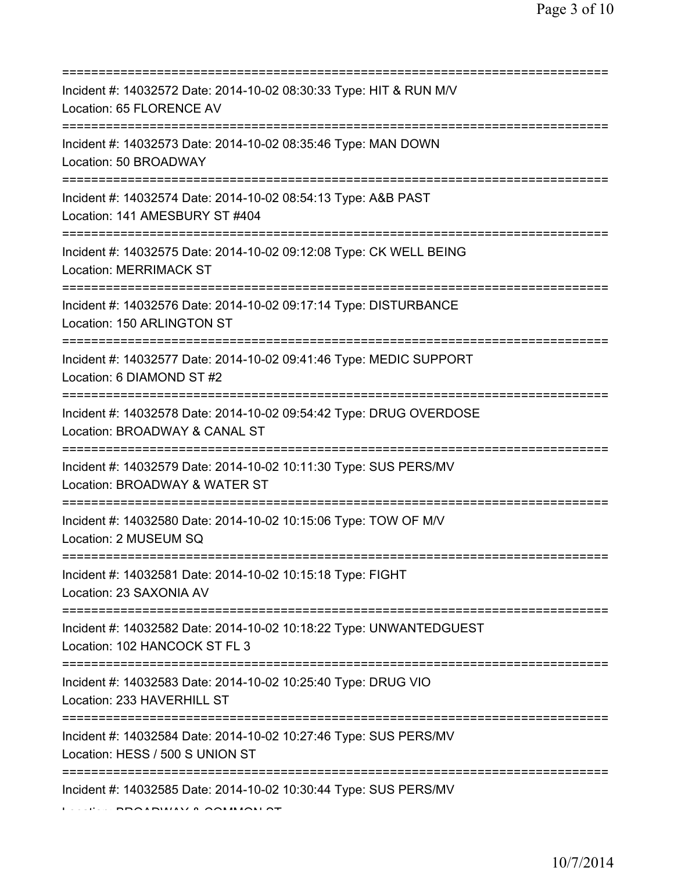| Incident #: 14032572 Date: 2014-10-02 08:30:33 Type: HIT & RUN M/V<br>Location: 65 FLORENCE AV                                       |
|--------------------------------------------------------------------------------------------------------------------------------------|
| Incident #: 14032573 Date: 2014-10-02 08:35:46 Type: MAN DOWN<br>Location: 50 BROADWAY                                               |
| Incident #: 14032574 Date: 2014-10-02 08:54:13 Type: A&B PAST<br>Location: 141 AMESBURY ST #404<br>========================          |
| Incident #: 14032575 Date: 2014-10-02 09:12:08 Type: CK WELL BEING<br><b>Location: MERRIMACK ST</b>                                  |
| Incident #: 14032576 Date: 2014-10-02 09:17:14 Type: DISTURBANCE<br>Location: 150 ARLINGTON ST                                       |
| Incident #: 14032577 Date: 2014-10-02 09:41:46 Type: MEDIC SUPPORT<br>Location: 6 DIAMOND ST #2<br>:================================ |
| Incident #: 14032578 Date: 2014-10-02 09:54:42 Type: DRUG OVERDOSE<br>Location: BROADWAY & CANAL ST                                  |
| Incident #: 14032579 Date: 2014-10-02 10:11:30 Type: SUS PERS/MV<br>Location: BROADWAY & WATER ST                                    |
| Incident #: 14032580 Date: 2014-10-02 10:15:06 Type: TOW OF M/V<br>Location: 2 MUSEUM SQ                                             |
| Incident #: 14032581 Date: 2014-10-02 10:15:18 Type: FIGHT<br>Location: 23 SAXONIA AV                                                |
| Incident #: 14032582 Date: 2014-10-02 10:18:22 Type: UNWANTEDGUEST<br>Location: 102 HANCOCK ST FL 3                                  |
| Incident #: 14032583 Date: 2014-10-02 10:25:40 Type: DRUG VIO<br>Location: 233 HAVERHILL ST                                          |
| Incident #: 14032584 Date: 2014-10-02 10:27:46 Type: SUS PERS/MV<br>Location: HESS / 500 S UNION ST                                  |
| ==================================<br>Incident #: 14032585 Date: 2014-10-02 10:30:44 Type: SUS PERS/MV                               |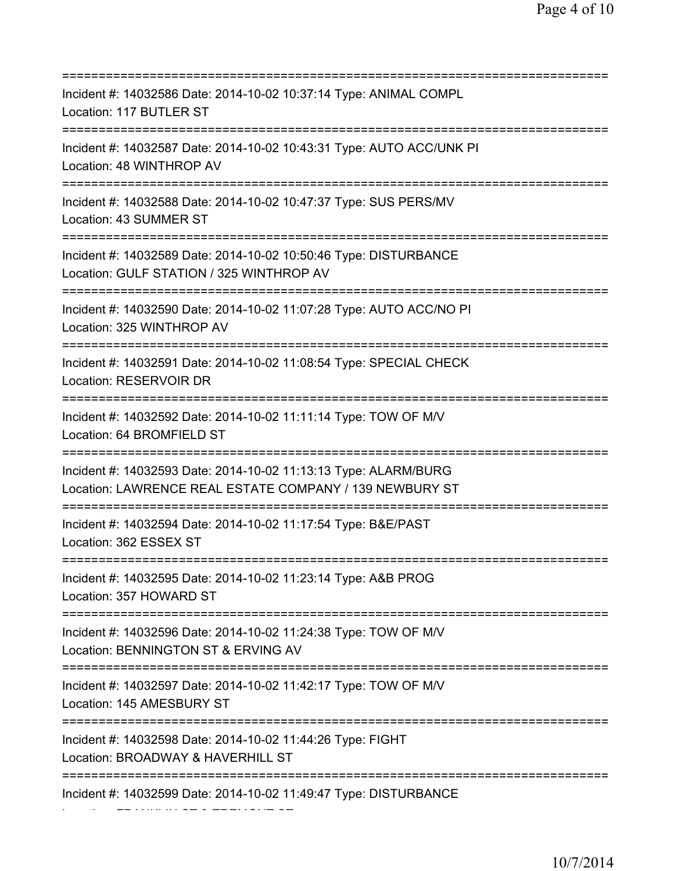=========================================================================== Incident #: 14032586 Date: 2014-10-02 10:37:14 Type: ANIMAL COMPL Location: 117 BUTLER ST =========================================================================== Incident #: 14032587 Date: 2014-10-02 10:43:31 Type: AUTO ACC/UNK PI Location: 48 WINTHROP AV =========================================================================== Incident #: 14032588 Date: 2014-10-02 10:47:37 Type: SUS PERS/MV Location: 43 SUMMER ST =========================================================================== Incident #: 14032589 Date: 2014-10-02 10:50:46 Type: DISTURBANCE Location: GULF STATION / 325 WINTHROP AV =========================================================================== Incident #: 14032590 Date: 2014-10-02 11:07:28 Type: AUTO ACC/NO PI Location: 325 WINTHROP AV =========================================================================== Incident #: 14032591 Date: 2014-10-02 11:08:54 Type: SPECIAL CHECK Location: RESERVOIR DR =========================================================================== Incident #: 14032592 Date: 2014-10-02 11:11:14 Type: TOW OF M/V Location: 64 BROMFIELD ST =========================================================================== Incident #: 14032593 Date: 2014-10-02 11:13:13 Type: ALARM/BURG Location: LAWRENCE REAL ESTATE COMPANY / 139 NEWBURY ST =========================================================================== Incident #: 14032594 Date: 2014-10-02 11:17:54 Type: B&E/PAST Location: 362 ESSEX ST =========================================================================== Incident #: 14032595 Date: 2014-10-02 11:23:14 Type: A&B PROG Location: 357 HOWARD ST =========================================================================== Incident #: 14032596 Date: 2014-10-02 11:24:38 Type: TOW OF M/V Location: BENNINGTON ST & ERVING AV =========================================================================== Incident #: 14032597 Date: 2014-10-02 11:42:17 Type: TOW OF M/V Location: 145 AMESBURY ST =========================================================================== Incident #: 14032598 Date: 2014-10-02 11:44:26 Type: FIGHT Location: BROADWAY & HAVERHILL ST =========================================================================== Incident #: 14032599 Date: 2014-10-02 11:49:47 Type: DISTURBANCE

Location: FRANKLIN ST & TREMONT ST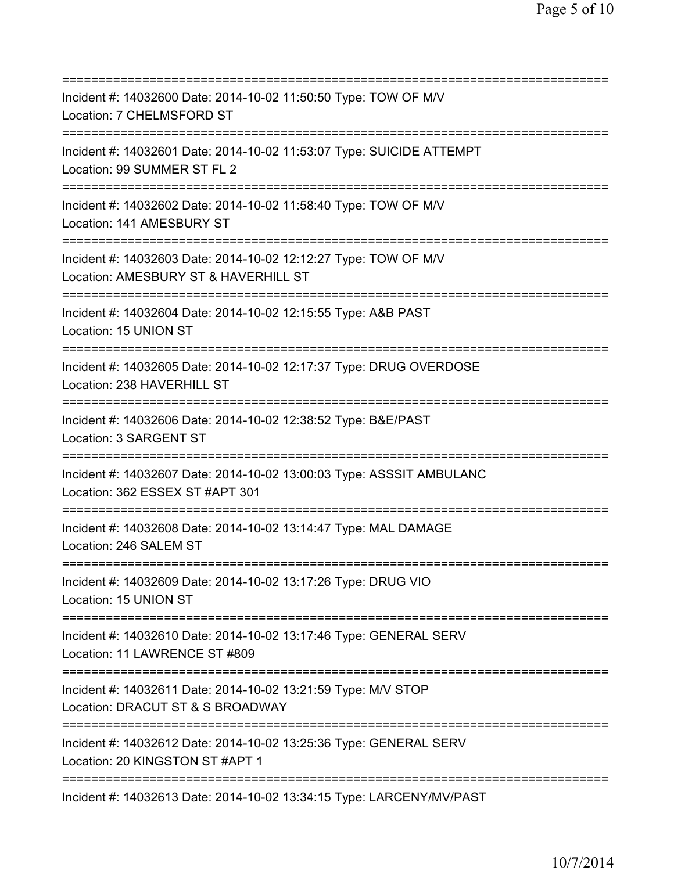| ============================                                                                                                                  |
|-----------------------------------------------------------------------------------------------------------------------------------------------|
| Incident #: 14032600 Date: 2014-10-02 11:50:50 Type: TOW OF M/V<br>Location: 7 CHELMSFORD ST                                                  |
| Incident #: 14032601 Date: 2014-10-02 11:53:07 Type: SUICIDE ATTEMPT<br>Location: 99 SUMMER ST FL 2                                           |
| Incident #: 14032602 Date: 2014-10-02 11:58:40 Type: TOW OF M/V<br>Location: 141 AMESBURY ST                                                  |
| Incident #: 14032603 Date: 2014-10-02 12:12:27 Type: TOW OF M/V<br>Location: AMESBURY ST & HAVERHILL ST<br>:=======================           |
| Incident #: 14032604 Date: 2014-10-02 12:15:55 Type: A&B PAST<br>Location: 15 UNION ST                                                        |
| Incident #: 14032605 Date: 2014-10-02 12:17:37 Type: DRUG OVERDOSE<br>Location: 238 HAVERHILL ST<br>=========================                 |
| Incident #: 14032606 Date: 2014-10-02 12:38:52 Type: B&E/PAST<br>Location: 3 SARGENT ST                                                       |
| Incident #: 14032607 Date: 2014-10-02 13:00:03 Type: ASSSIT AMBULANC<br>Location: 362 ESSEX ST #APT 301                                       |
| Incident #: 14032608 Date: 2014-10-02 13:14:47 Type: MAL DAMAGE<br>Location: 246 SALEM ST                                                     |
| Incident #: 14032609 Date: 2014-10-02 13:17:26 Type: DRUG VIO<br>Location: 15 UNION ST                                                        |
| Incident #: 14032610 Date: 2014-10-02 13:17:46 Type: GENERAL SERV<br>Location: 11 LAWRENCE ST #809                                            |
| Incident #: 14032611 Date: 2014-10-02 13:21:59 Type: M/V STOP<br>Location: DRACUT ST & S BROADWAY                                             |
| =====================================<br>Incident #: 14032612 Date: 2014-10-02 13:25:36 Type: GENERAL SERV<br>Location: 20 KINGSTON ST #APT 1 |
| =============================<br>Incident #: 14032613 Date: 2014-10-02 13:34:15 Type: LARCENY/MV/PAST                                         |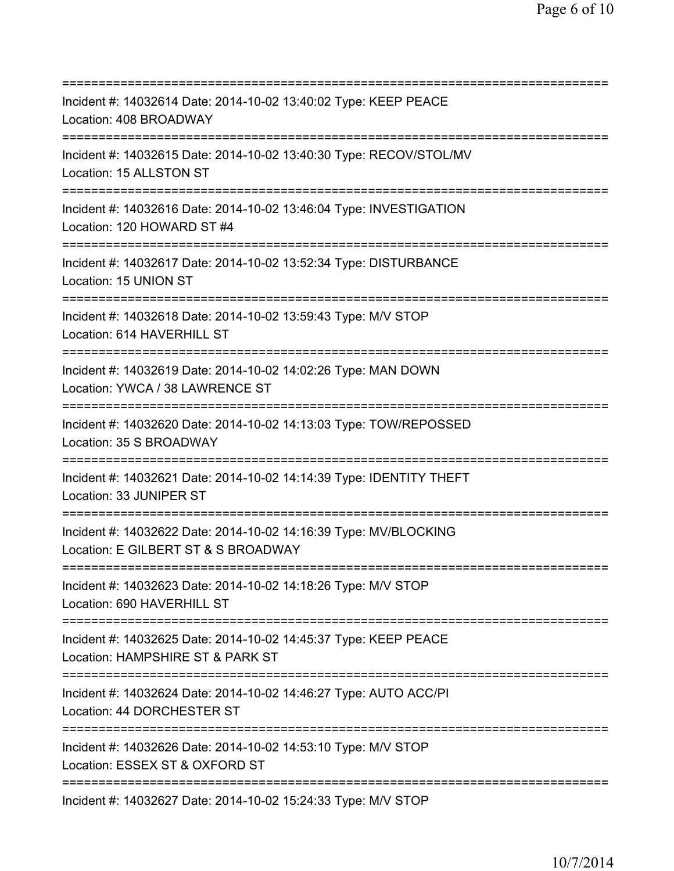=========================================================================== Incident #: 14032614 Date: 2014-10-02 13:40:02 Type: KEEP PEACE Location: 408 BROADWAY =========================================================================== Incident #: 14032615 Date: 2014-10-02 13:40:30 Type: RECOV/STOL/MV Location: 15 ALLSTON ST =========================================================================== Incident #: 14032616 Date: 2014-10-02 13:46:04 Type: INVESTIGATION Location: 120 HOWARD ST #4 =========================================================================== Incident #: 14032617 Date: 2014-10-02 13:52:34 Type: DISTURBANCE Location: 15 UNION ST =========================================================================== Incident #: 14032618 Date: 2014-10-02 13:59:43 Type: M/V STOP Location: 614 HAVERHILL ST =========================================================================== Incident #: 14032619 Date: 2014-10-02 14:02:26 Type: MAN DOWN Location: YWCA / 38 LAWRENCE ST =========================================================================== Incident #: 14032620 Date: 2014-10-02 14:13:03 Type: TOW/REPOSSED Location: 35 S BROADWAY =========================================================================== Incident #: 14032621 Date: 2014-10-02 14:14:39 Type: IDENTITY THEFT Location: 33 JUNIPER ST =========================================================================== Incident #: 14032622 Date: 2014-10-02 14:16:39 Type: MV/BLOCKING Location: E GILBERT ST & S BROADWAY =========================================================================== Incident #: 14032623 Date: 2014-10-02 14:18:26 Type: M/V STOP Location: 690 HAVERHILL ST =========================================================================== Incident #: 14032625 Date: 2014-10-02 14:45:37 Type: KEEP PEACE Location: HAMPSHIRE ST & PARK ST =========================================================================== Incident #: 14032624 Date: 2014-10-02 14:46:27 Type: AUTO ACC/PI Location: 44 DORCHESTER ST =========================================================================== Incident #: 14032626 Date: 2014-10-02 14:53:10 Type: M/V STOP Location: ESSEX ST & OXFORD ST =========================================================================== Incident #: 14032627 Date: 2014-10-02 15:24:33 Type: M/V STOP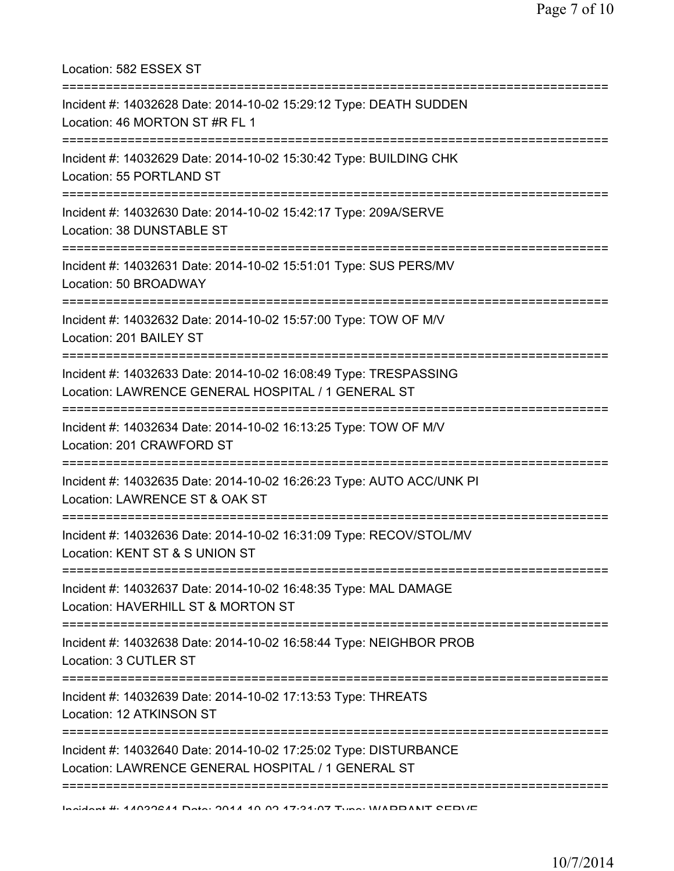Location: 582 ESSEX ST =========================================================================== Incident #: 14032628 Date: 2014-10-02 15:29:12 Type: DEATH SUDDEN Location: 46 MORTON ST #R FL 1 =========================================================================== Incident #: 14032629 Date: 2014-10-02 15:30:42 Type: BUILDING CHK Location: 55 PORTLAND ST =========================================================================== Incident #: 14032630 Date: 2014-10-02 15:42:17 Type: 209A/SERVE Location: 38 DUNSTABLE ST =========================================================================== Incident #: 14032631 Date: 2014-10-02 15:51:01 Type: SUS PERS/MV Location: 50 BROADWAY =========================================================================== Incident #: 14032632 Date: 2014-10-02 15:57:00 Type: TOW OF M/V Location: 201 BAILEY ST =========================================================================== Incident #: 14032633 Date: 2014-10-02 16:08:49 Type: TRESPASSING Location: LAWRENCE GENERAL HOSPITAL / 1 GENERAL ST =========================================================================== Incident #: 14032634 Date: 2014-10-02 16:13:25 Type: TOW OF M/V Location: 201 CRAWFORD ST =========================================================================== Incident #: 14032635 Date: 2014-10-02 16:26:23 Type: AUTO ACC/UNK PI Location: LAWRENCE ST & OAK ST =========================================================================== Incident #: 14032636 Date: 2014-10-02 16:31:09 Type: RECOV/STOL/MV Location: KENT ST & S UNION ST =========================================================================== Incident #: 14032637 Date: 2014-10-02 16:48:35 Type: MAL DAMAGE Location: HAVERHILL ST & MORTON ST =========================================================================== Incident #: 14032638 Date: 2014-10-02 16:58:44 Type: NEIGHBOR PROB Location: 3 CUTLER ST =========================================================================== Incident #: 14032639 Date: 2014-10-02 17:13:53 Type: THREATS Location: 12 ATKINSON ST =========================================================================== Incident #: 14032640 Date: 2014-10-02 17:25:02 Type: DISTURBANCE Location: LAWRENCE GENERAL HOSPITAL / 1 GENERAL ST =========================================================================== Incident #: 14032641 Date: 2014 10 02 17:31:07 Type: WARRANT SERVE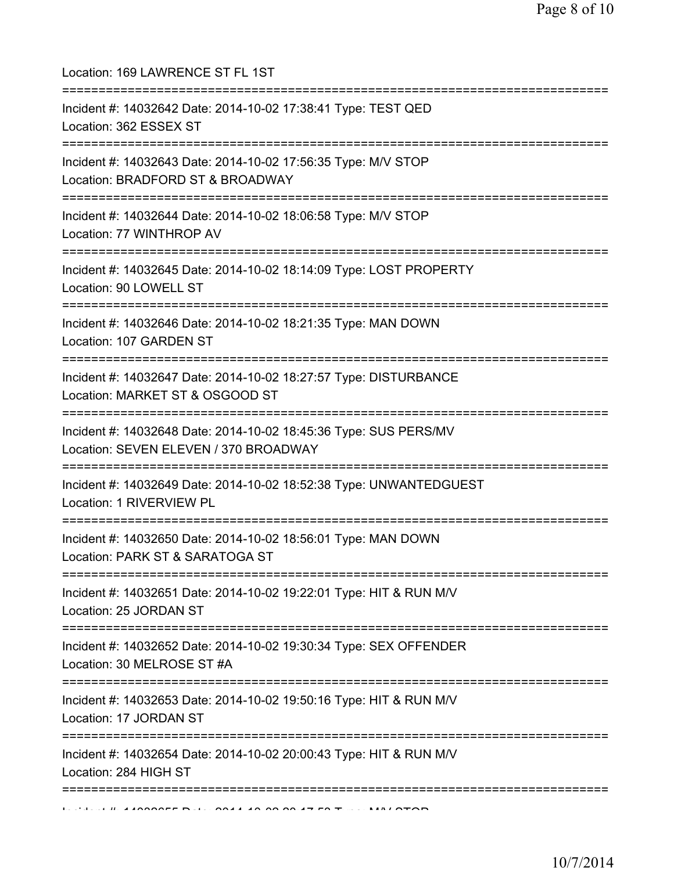| Location: 169 LAWRENCE ST FL 1ST<br>=====================================                                                        |
|----------------------------------------------------------------------------------------------------------------------------------|
| Incident #: 14032642 Date: 2014-10-02 17:38:41 Type: TEST QED<br>Location: 362 ESSEX ST<br>===================================== |
| Incident #: 14032643 Date: 2014-10-02 17:56:35 Type: M/V STOP<br>Location: BRADFORD ST & BROADWAY<br>=========================   |
| Incident #: 14032644 Date: 2014-10-02 18:06:58 Type: M/V STOP<br>Location: 77 WINTHROP AV                                        |
| Incident #: 14032645 Date: 2014-10-02 18:14:09 Type: LOST PROPERTY<br>Location: 90 LOWELL ST                                     |
| ====================================<br>Incident #: 14032646 Date: 2014-10-02 18:21:35 Type: MAN DOWN<br>Location: 107 GARDEN ST |
| Incident #: 14032647 Date: 2014-10-02 18:27:57 Type: DISTURBANCE<br>Location: MARKET ST & OSGOOD ST                              |
| Incident #: 14032648 Date: 2014-10-02 18:45:36 Type: SUS PERS/MV<br>Location: SEVEN ELEVEN / 370 BROADWAY                        |
| ============================<br>Incident #: 14032649 Date: 2014-10-02 18:52:38 Type: UNWANTEDGUEST<br>Location: 1 RIVERVIEW PL   |
| Incident #: 14032650 Date: 2014-10-02 18:56:01 Type: MAN DOWN<br>Location: PARK ST & SARATOGA ST                                 |
| Incident #: 14032651 Date: 2014-10-02 19:22:01 Type: HIT & RUN M/V<br>Location: 25 JORDAN ST                                     |
| Incident #: 14032652 Date: 2014-10-02 19:30:34 Type: SEX OFFENDER<br>Location: 30 MELROSE ST #A                                  |
| ==============<br>Incident #: 14032653 Date: 2014-10-02 19:50:16 Type: HIT & RUN M/V<br>Location: 17 JORDAN ST                   |
| Incident #: 14032654 Date: 2014-10-02 20:00:43 Type: HIT & RUN M/V<br>Location: 284 HIGH ST                                      |
|                                                                                                                                  |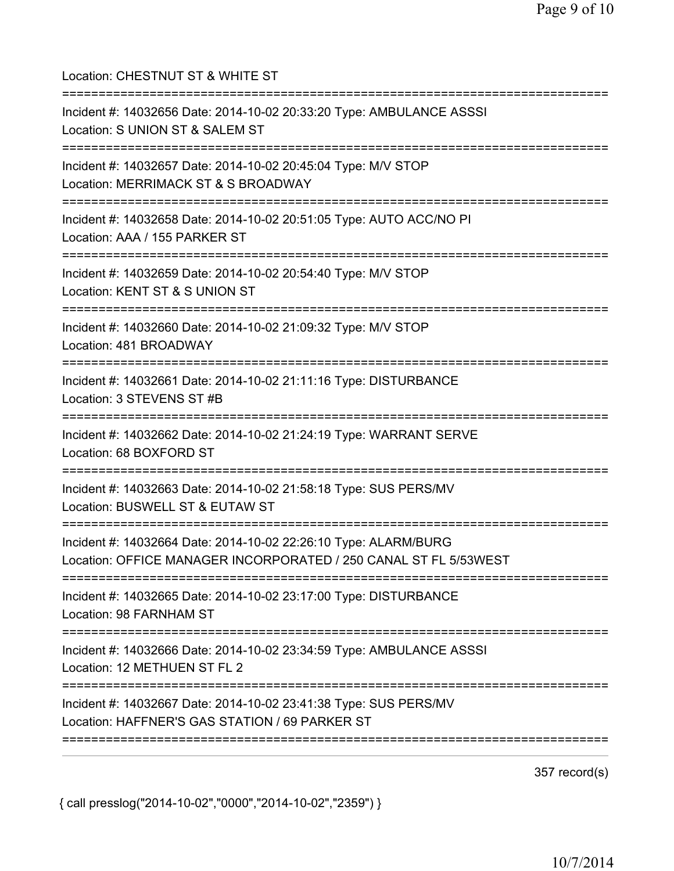| Location: CHESTNUT ST & WHITE ST                                                                                                    |
|-------------------------------------------------------------------------------------------------------------------------------------|
| Incident #: 14032656 Date: 2014-10-02 20:33:20 Type: AMBULANCE ASSSI<br>Location: S UNION ST & SALEM ST                             |
| Incident #: 14032657 Date: 2014-10-02 20:45:04 Type: M/V STOP<br>Location: MERRIMACK ST & S BROADWAY                                |
| Incident #: 14032658 Date: 2014-10-02 20:51:05 Type: AUTO ACC/NO PI<br>Location: AAA / 155 PARKER ST<br>========================    |
| Incident #: 14032659 Date: 2014-10-02 20:54:40 Type: M/V STOP<br>Location: KENT ST & S UNION ST                                     |
| Incident #: 14032660 Date: 2014-10-02 21:09:32 Type: M/V STOP<br>Location: 481 BROADWAY                                             |
| Incident #: 14032661 Date: 2014-10-02 21:11:16 Type: DISTURBANCE<br>Location: 3 STEVENS ST #B                                       |
| Incident #: 14032662 Date: 2014-10-02 21:24:19 Type: WARRANT SERVE<br>Location: 68 BOXFORD ST                                       |
| Incident #: 14032663 Date: 2014-10-02 21:58:18 Type: SUS PERS/MV<br>Location: BUSWELL ST & EUTAW ST                                 |
| Incident #: 14032664 Date: 2014-10-02 22:26:10 Type: ALARM/BURG<br>Location: OFFICE MANAGER INCORPORATED / 250 CANAL ST FL 5/53WEST |
| Incident #: 14032665 Date: 2014-10-02 23:17:00 Type: DISTURBANCE<br>Location: 98 FARNHAM ST                                         |
| Incident #: 14032666 Date: 2014-10-02 23:34:59 Type: AMBULANCE ASSSI<br>Location: 12 METHUEN ST FL 2                                |
| Incident #: 14032667 Date: 2014-10-02 23:41:38 Type: SUS PERS/MV<br>Location: HAFFNER'S GAS STATION / 69 PARKER ST                  |
|                                                                                                                                     |

357 record(s)

{ call presslog("2014-10-02","0000","2014-10-02","2359") }